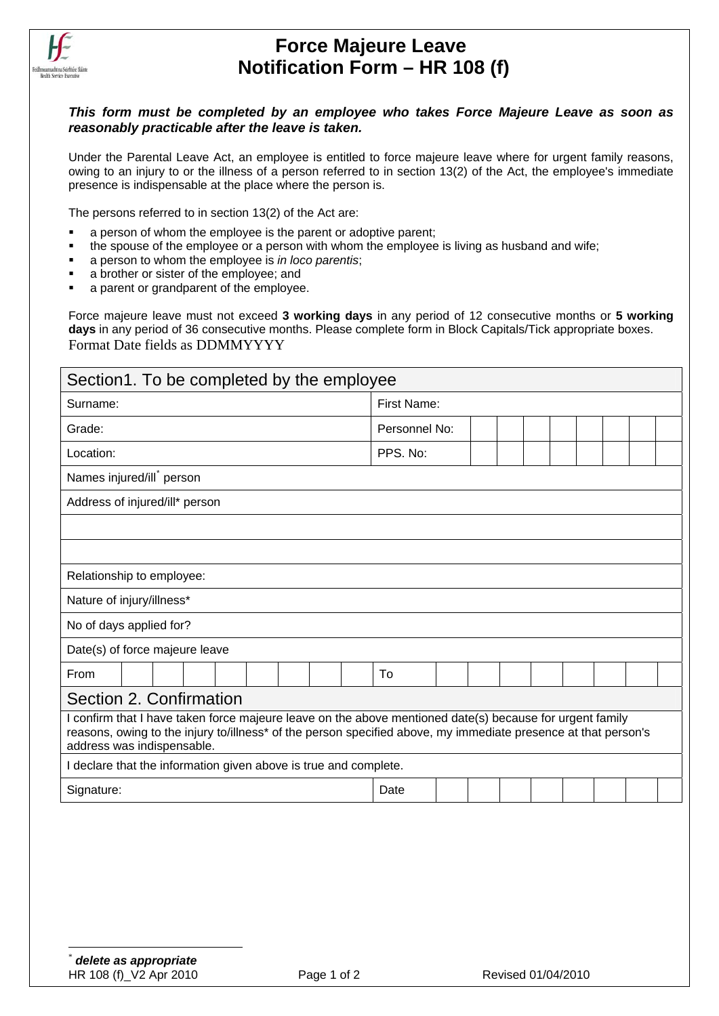

## **Force Majeure Leave Notification Form – HR 108 (f)**

## *This form must be completed by an employee who takes Force Majeure Leave as soon as reasonably practicable after the leave is taken.*

Under the Parental Leave Act, an employee is entitled to force majeure leave where for urgent family reasons, owing to an injury to or the illness of a person referred to in section 13(2) of the Act, the employee's immediate presence is indispensable at the place where the person is.

The persons referred to in section 13(2) of the Act are:

- a person of whom the employee is the parent or adoptive parent;
- the spouse of the employee or a person with whom the employee is living as husband and wife;
- a person to whom the employee is *in loco parentis*;
- a brother or sister of the employee; and
- a parent or grandparent of the employee.

Force majeure leave must not exceed **3 working days** in any period of 12 consecutive months or **5 working days** in any period of 36 consecutive months. Please complete form in Block Capitals/Tick appropriate boxes. Format Date fields as DDMMYYYY

<span id="page-0-0"></span>

| Section1. To be completed by the employee                                                                                                                                                                                                                |               |
|----------------------------------------------------------------------------------------------------------------------------------------------------------------------------------------------------------------------------------------------------------|---------------|
| Surname:                                                                                                                                                                                                                                                 | First Name:   |
| Grade:                                                                                                                                                                                                                                                   | Personnel No: |
| Location:                                                                                                                                                                                                                                                | PPS. No:      |
| Names injured/ill person                                                                                                                                                                                                                                 |               |
| Address of injured/ill* person                                                                                                                                                                                                                           |               |
|                                                                                                                                                                                                                                                          |               |
|                                                                                                                                                                                                                                                          |               |
| Relationship to employee:                                                                                                                                                                                                                                |               |
| Nature of injury/illness*                                                                                                                                                                                                                                |               |
| No of days applied for?                                                                                                                                                                                                                                  |               |
| Date(s) of force majeure leave                                                                                                                                                                                                                           |               |
| From                                                                                                                                                                                                                                                     | To            |
| Section 2. Confirmation                                                                                                                                                                                                                                  |               |
| I confirm that I have taken force majeure leave on the above mentioned date(s) because for urgent family<br>reasons, owing to the injury to/illness* of the person specified above, my immediate presence at that person's<br>address was indispensable. |               |
| I declare that the information given above is true and complete.                                                                                                                                                                                         |               |
| Signature:                                                                                                                                                                                                                                               | Date          |